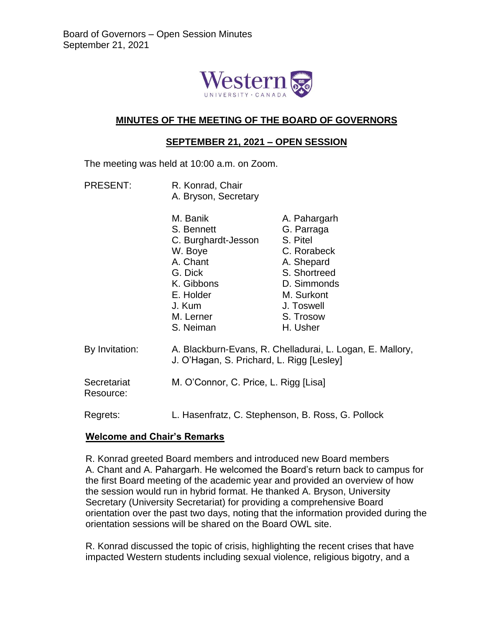

# **MINUTES OF THE MEETING OF THE BOARD OF GOVERNORS**

### **SEPTEMBER 21, 2021 – OPEN SESSION**

The meeting was held at 10:00 a.m. on Zoom.

PRESENT: R. Konrad, Chair A. Bryson, Secretary

|                          | M. Banik<br>S. Bennett<br>C. Burghardt-Jesson<br>W. Boye<br>A. Chant<br>G. Dick<br>K. Gibbons<br>E. Holder<br>J. Kum<br>M. Lerner<br>S. Neiman | A. Pahargarh<br>G. Parraga<br>S. Pitel<br>C. Rorabeck<br>A. Shepard<br>S. Shortreed<br>D. Simmonds<br>M. Surkont<br>J. Toswell<br>S. Trosow<br>H. Usher |
|--------------------------|------------------------------------------------------------------------------------------------------------------------------------------------|---------------------------------------------------------------------------------------------------------------------------------------------------------|
| By Invitation:           | A. Blackburn-Evans, R. Chelladurai, L. Logan, E. Mallory,<br>J. O'Hagan, S. Prichard, L. Rigg [Lesley]                                         |                                                                                                                                                         |
| Secretariat<br>Resource: | M. O'Connor, C. Price, L. Rigg [Lisa]                                                                                                          |                                                                                                                                                         |
| Regrets:                 | L. Hasenfratz, C. Stephenson, B. Ross, G. Pollock                                                                                              |                                                                                                                                                         |

# **Welcome and Chair's Remarks**

R. Konrad greeted Board members and introduced new Board members A. Chant and A. Pahargarh. He welcomed the Board's return back to campus for the first Board meeting of the academic year and provided an overview of how the session would run in hybrid format. He thanked A. Bryson, University Secretary (University Secretariat) for providing a comprehensive Board orientation over the past two days, noting that the information provided during the orientation sessions will be shared on the Board OWL site.

R. Konrad discussed the topic of crisis, highlighting the recent crises that have impacted Western students including sexual violence, religious bigotry, and a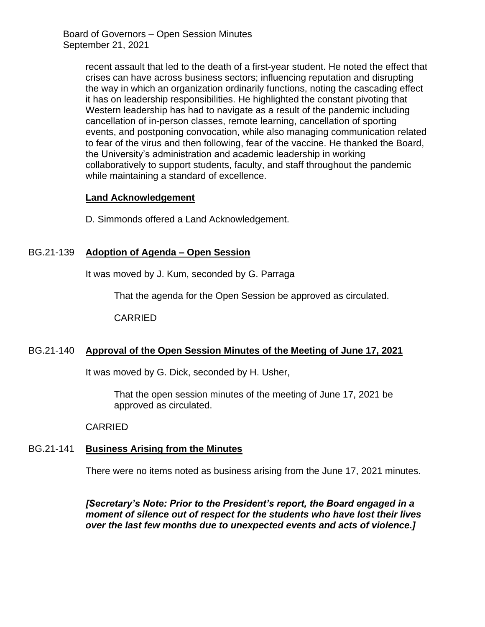> recent assault that led to the death of a first-year student. He noted the effect that crises can have across business sectors; influencing reputation and disrupting the way in which an organization ordinarily functions, noting the cascading effect it has on leadership responsibilities. He highlighted the constant pivoting that Western leadership has had to navigate as a result of the pandemic including cancellation of in-person classes, remote learning, cancellation of sporting events, and postponing convocation, while also managing communication related to fear of the virus and then following, fear of the vaccine. He thanked the Board, the University's administration and academic leadership in working collaboratively to support students, faculty, and staff throughout the pandemic while maintaining a standard of excellence.

# **Land Acknowledgement**

D. Simmonds offered a Land Acknowledgement.

# BG.21-139 **Adoption of Agenda – Open Session**

It was moved by J. Kum, seconded by G. Parraga

That the agenda for the Open Session be approved as circulated.

CARRIED

# BG.21-140 **Approval of the Open Session Minutes of the Meeting of June 17, 2021**

It was moved by G. Dick, seconded by H. Usher,

That the open session minutes of the meeting of June 17, 2021 be approved as circulated.

#### CARRIED

# BG.21-141 **Business Arising from the Minutes**

There were no items noted as business arising from the June 17, 2021 minutes.

*[Secretary's Note: Prior to the President's report, the Board engaged in a moment of silence out of respect for the students who have lost their lives over the last few months due to unexpected events and acts of violence.]*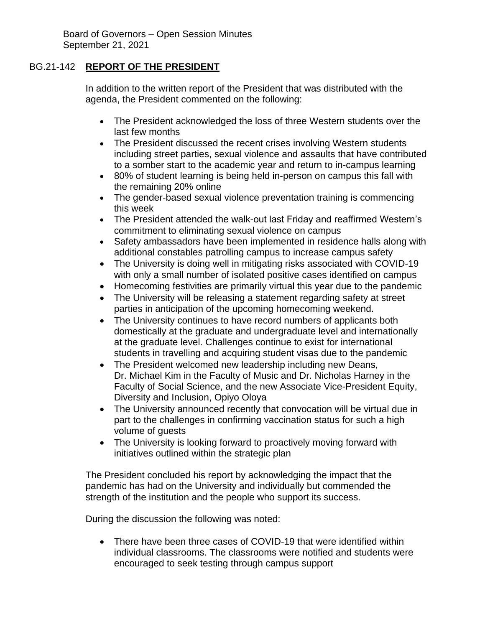# BG.21-142 **REPORT OF THE PRESIDENT**

In addition to the written report of the President that was distributed with the agenda, the President commented on the following:

- The President acknowledged the loss of three Western students over the last few months
- The President discussed the recent crises involving Western students including street parties, sexual violence and assaults that have contributed to a somber start to the academic year and return to in-campus learning
- 80% of student learning is being held in-person on campus this fall with the remaining 20% online
- The gender-based sexual violence preventation training is commencing this week
- The President attended the walk-out last Friday and reaffirmed Western's commitment to eliminating sexual violence on campus
- Safety ambassadors have been implemented in residence halls along with additional constables patrolling campus to increase campus safety
- The University is doing well in mitigating risks associated with COVID-19 with only a small number of isolated positive cases identified on campus
- Homecoming festivities are primarily virtual this year due to the pandemic
- The University will be releasing a statement regarding safety at street parties in anticipation of the upcoming homecoming weekend.
- The University continues to have record numbers of applicants both domestically at the graduate and undergraduate level and internationally at the graduate level. Challenges continue to exist for international students in travelling and acquiring student visas due to the pandemic
- The President welcomed new leadership including new Deans, Dr. Michael Kim in the Faculty of Music and Dr. Nicholas Harney in the Faculty of Social Science, and the new Associate Vice-President Equity, Diversity and Inclusion, Opiyo Oloya
- The University announced recently that convocation will be virtual due in part to the challenges in confirming vaccination status for such a high volume of guests
- The University is looking forward to proactively moving forward with initiatives outlined within the strategic plan

The President concluded his report by acknowledging the impact that the pandemic has had on the University and individually but commended the strength of the institution and the people who support its success.

During the discussion the following was noted:

 There have been three cases of COVID-19 that were identified within individual classrooms. The classrooms were notified and students were encouraged to seek testing through campus support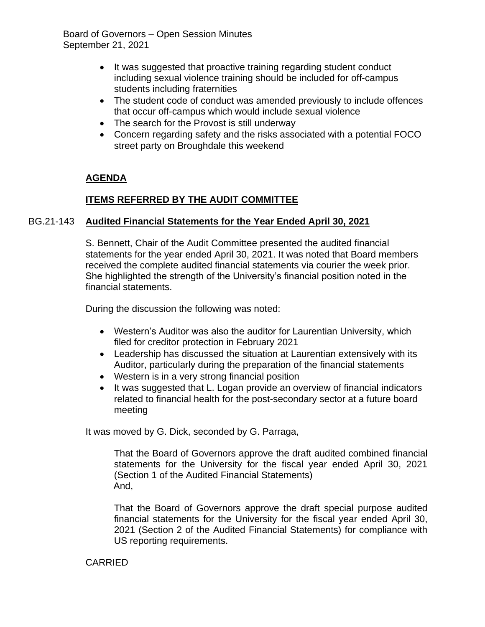- It was suggested that proactive training regarding student conduct including sexual violence training should be included for off-campus students including fraternities
- The student code of conduct was amended previously to include offences that occur off-campus which would include sexual violence
- The search for the Provost is still underway
- Concern regarding safety and the risks associated with a potential FOCO street party on Broughdale this weekend

# **AGENDA**

# **ITEMS REFERRED BY THE AUDIT COMMITTEE**

# BG.21-143 **Audited Financial Statements for the Year Ended April 30, 2021**

S. Bennett, Chair of the Audit Committee presented the audited financial statements for the year ended April 30, 2021. It was noted that Board members received the complete audited financial statements via courier the week prior. She highlighted the strength of the University's financial position noted in the financial statements.

During the discussion the following was noted:

- Western's Auditor was also the auditor for Laurentian University, which filed for creditor protection in February 2021
- Leadership has discussed the situation at Laurentian extensively with its Auditor, particularly during the preparation of the financial statements
- Western is in a very strong financial position
- It was suggested that L. Logan provide an overview of financial indicators related to financial health for the post-secondary sector at a future board meeting

It was moved by G. Dick, seconded by G. Parraga,

That the Board of Governors approve the draft audited combined financial statements for the University for the fiscal year ended April 30, 2021 (Section 1 of the Audited Financial Statements) And,

That the Board of Governors approve the draft special purpose audited financial statements for the University for the fiscal year ended April 30, 2021 (Section 2 of the Audited Financial Statements) for compliance with US reporting requirements.

# CARRIED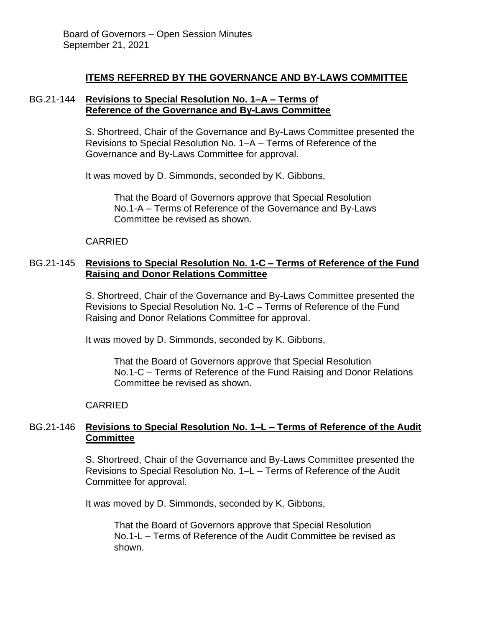### **ITEMS REFERRED BY THE GOVERNANCE AND BY-LAWS COMMITTEE**

### BG.21-144 **Revisions to Special Resolution No. 1–A – Terms of Reference of the Governance and By-Laws Committee**

S. Shortreed, Chair of the Governance and By-Laws Committee presented the Revisions to Special Resolution No. 1–A – Terms of Reference of the Governance and By-Laws Committee for approval.

It was moved by D. Simmonds, seconded by K. Gibbons,

That the Board of Governors approve that Special Resolution No.1-A – Terms of Reference of the Governance and By-Laws Committee be revised as shown.

### CARRIED

# BG.21-145 **Revisions to Special Resolution No. 1-C – Terms of Reference of the Fund Raising and Donor Relations Committee**

S. Shortreed, Chair of the Governance and By-Laws Committee presented the Revisions to Special Resolution No. 1-C – Terms of Reference of the Fund Raising and Donor Relations Committee for approval.

It was moved by D. Simmonds, seconded by K. Gibbons,

That the Board of Governors approve that Special Resolution No.1-C – Terms of Reference of the Fund Raising and Donor Relations Committee be revised as shown.

# CARRIED

# BG.21-146 **Revisions to Special Resolution No. 1–L – Terms of Reference of the Audit Committee**

S. Shortreed, Chair of the Governance and By-Laws Committee presented the Revisions to Special Resolution No. 1–L – Terms of Reference of the Audit Committee for approval.

It was moved by D. Simmonds, seconded by K. Gibbons,

That the Board of Governors approve that Special Resolution No.1-L – Terms of Reference of the Audit Committee be revised as shown.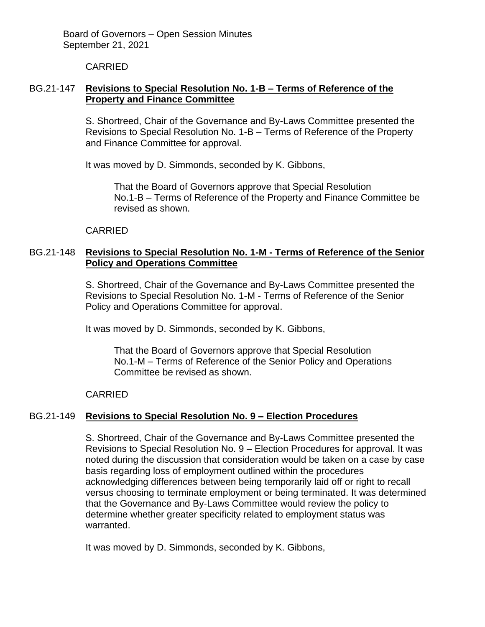CARRIED

# BG.21-147 **Revisions to Special Resolution No. 1-B – Terms of Reference of the Property and Finance Committee**

S. Shortreed, Chair of the Governance and By-Laws Committee presented the Revisions to Special Resolution No. 1-B – Terms of Reference of the Property and Finance Committee for approval.

It was moved by D. Simmonds, seconded by K. Gibbons,

That the Board of Governors approve that Special Resolution No.1-B – Terms of Reference of the Property and Finance Committee be revised as shown.

# CARRIED

# BG.21-148 **Revisions to Special Resolution No. 1-M - Terms of Reference of the Senior Policy and Operations Committee**

S. Shortreed, Chair of the Governance and By-Laws Committee presented the Revisions to Special Resolution No. 1-M - Terms of Reference of the Senior Policy and Operations Committee for approval.

It was moved by D. Simmonds, seconded by K. Gibbons,

That the Board of Governors approve that Special Resolution No.1-M – Terms of Reference of the Senior Policy and Operations Committee be revised as shown.

CARRIED

# BG.21-149 **Revisions to Special Resolution No. 9 – Election Procedures**

S. Shortreed, Chair of the Governance and By-Laws Committee presented the Revisions to Special Resolution No. 9 – Election Procedures for approval. It was noted during the discussion that consideration would be taken on a case by case basis regarding loss of employment outlined within the procedures acknowledging differences between being temporarily laid off or right to recall versus choosing to terminate employment or being terminated. It was determined that the Governance and By-Laws Committee would review the policy to determine whether greater specificity related to employment status was warranted.

It was moved by D. Simmonds, seconded by K. Gibbons,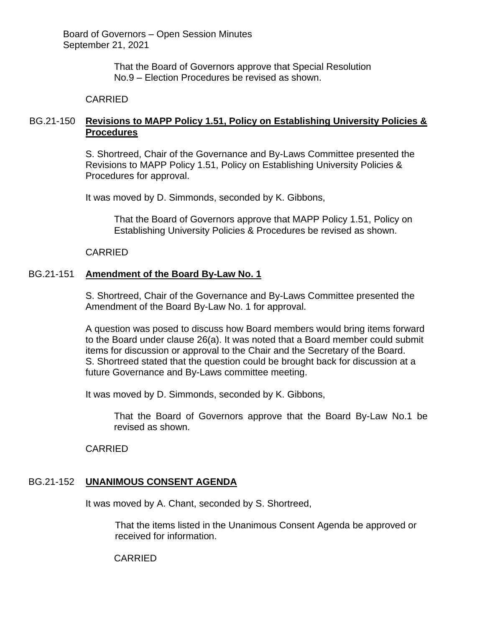> That the Board of Governors approve that Special Resolution No.9 – Election Procedures be revised as shown.

# CARRIED

# BG.21-150 **Revisions to MAPP Policy 1.51, Policy on Establishing University Policies & Procedures**

S. Shortreed, Chair of the Governance and By-Laws Committee presented the Revisions to MAPP Policy 1.51, Policy on Establishing University Policies & Procedures for approval.

It was moved by D. Simmonds, seconded by K. Gibbons,

That the Board of Governors approve that MAPP Policy 1.51, Policy on Establishing University Policies & Procedures be revised as shown.

CARRIED

# BG.21-151 **Amendment of the Board By-Law No. 1**

S. Shortreed, Chair of the Governance and By-Laws Committee presented the Amendment of the Board By-Law No. 1 for approval.

A question was posed to discuss how Board members would bring items forward to the Board under clause 26(a). It was noted that a Board member could submit items for discussion or approval to the Chair and the Secretary of the Board. S. Shortreed stated that the question could be brought back for discussion at a future Governance and By-Laws committee meeting.

It was moved by D. Simmonds, seconded by K. Gibbons,

That the Board of Governors approve that the Board By-Law No.1 be revised as shown.

CARRIED

# BG.21-152 **UNANIMOUS CONSENT AGENDA**

It was moved by A. Chant, seconded by S. Shortreed,

That the items listed in the Unanimous Consent Agenda be approved or received for information.

CARRIED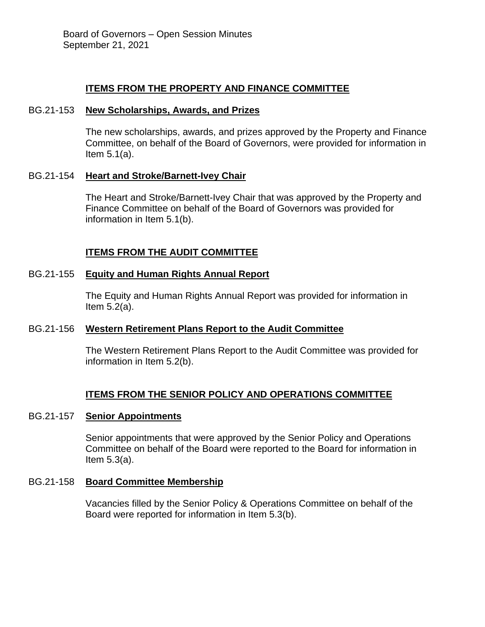# **ITEMS FROM THE PROPERTY AND FINANCE COMMITTEE**

### BG.21-153 **New Scholarships, Awards, and Prizes**

The new scholarships, awards, and prizes approved by the Property and Finance Committee, on behalf of the Board of Governors, were provided for information in Item 5.1(a).

### BG.21-154 **Heart and Stroke/Barnett-Ivey Chair**

The Heart and Stroke/Barnett-Ivey Chair that was approved by the Property and Finance Committee on behalf of the Board of Governors was provided for information in Item 5.1(b).

# **ITEMS FROM THE AUDIT COMMITTEE**

### BG.21-155 **Equity and Human Rights Annual Report**

The Equity and Human Rights Annual Report was provided for information in Item 5.2(a).

# BG.21-156 **Western Retirement Plans Report to the Audit Committee**

The Western Retirement Plans Report to the Audit Committee was provided for information in Item 5.2(b).

# **ITEMS FROM THE SENIOR POLICY AND OPERATIONS COMMITTEE**

#### BG.21-157 **Senior Appointments**

Senior appointments that were approved by the Senior Policy and Operations Committee on behalf of the Board were reported to the Board for information in Item 5.3(a).

### BG.21-158 **Board Committee Membership**

Vacancies filled by the Senior Policy & Operations Committee on behalf of the Board were reported for information in Item 5.3(b).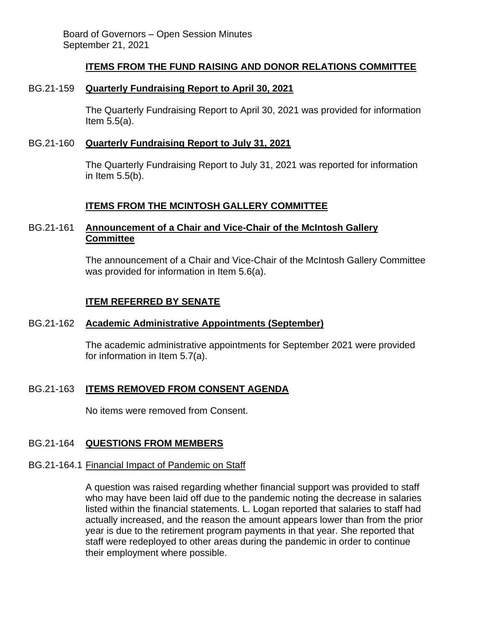# **ITEMS FROM THE FUND RAISING AND DONOR RELATIONS COMMITTEE**

### BG.21-159 **Quarterly Fundraising Report to April 30, 2021**

The Quarterly Fundraising Report to April 30, 2021 was provided for information Item 5.5(a).

### BG.21-160 **Quarterly Fundraising Report to July 31, 2021**

The Quarterly Fundraising Report to July 31, 2021 was reported for information in Item 5.5(b).

# **ITEMS FROM THE MCINTOSH GALLERY COMMITTEE**

# BG.21-161 **Announcement of a Chair and Vice-Chair of the McIntosh Gallery Committee**

The announcement of a Chair and Vice-Chair of the McIntosh Gallery Committee was provided for information in Item 5.6(a).

# **ITEM REFERRED BY SENATE**

# BG.21-162 **Academic Administrative Appointments (September)**

The academic administrative appointments for September 2021 were provided for information in Item 5.7(a).

# BG.21-163 **ITEMS REMOVED FROM CONSENT AGENDA**

No items were removed from Consent.

# BG.21-164 **QUESTIONS FROM MEMBERS**

#### BG.21-164.1 Financial Impact of Pandemic on Staff

A question was raised regarding whether financial support was provided to staff who may have been laid off due to the pandemic noting the decrease in salaries listed within the financial statements. L. Logan reported that salaries to staff had actually increased, and the reason the amount appears lower than from the prior year is due to the retirement program payments in that year. She reported that staff were redeployed to other areas during the pandemic in order to continue their employment where possible.